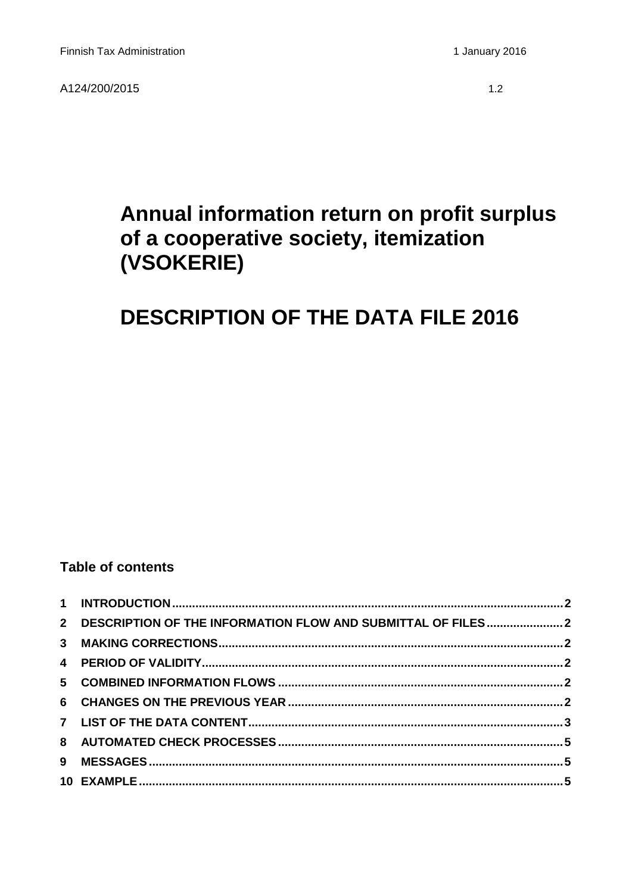## Annual information return on profit surplus of a cooperative society, itemization (VSOKERIE)

# **DESCRIPTION OF THE DATA FILE 2016**

## **Table of contents**

| 2 DESCRIPTION OF THE INFORMATION FLOW AND SUBMITTAL OF FILES2 |  |
|---------------------------------------------------------------|--|
|                                                               |  |
|                                                               |  |
|                                                               |  |
|                                                               |  |
|                                                               |  |
|                                                               |  |
|                                                               |  |
|                                                               |  |
|                                                               |  |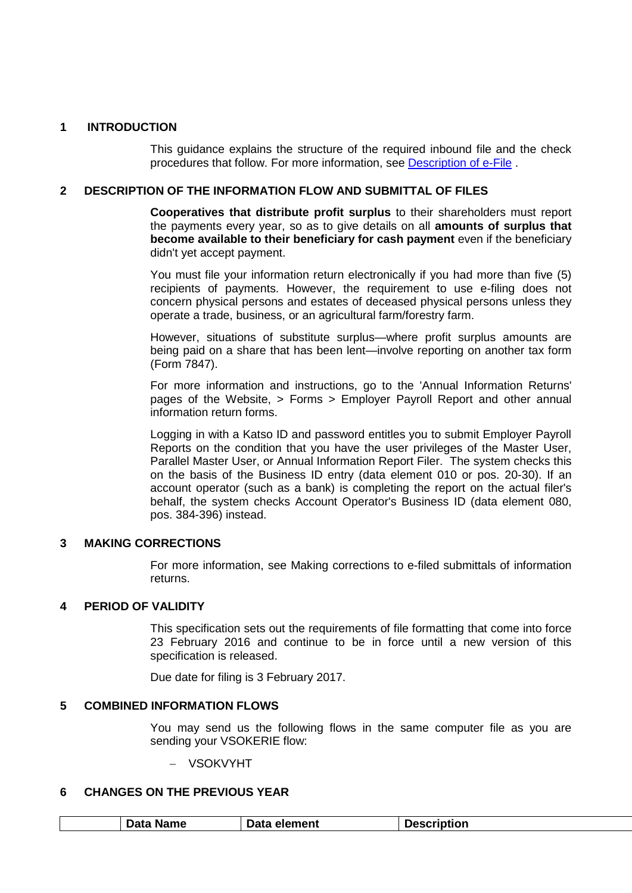#### <span id="page-1-0"></span>**1 INTRODUCTION**

This guidance explains the structure of the required inbound file and the check procedures that follow. For more information, see [Description of e-File](http://www.vero.fi/download/Sahkoisen_ilmoittamisen_yleiskuvaus_ENGL20/%7B956D482C-4A28-48D2-BE25-00112D97AE00%7D/12064) .

#### <span id="page-1-1"></span>**2 DESCRIPTION OF THE INFORMATION FLOW AND SUBMITTAL OF FILES**

**Cooperatives that distribute profit surplus** to their shareholders must report the payments every year, so as to give details on all **amounts of surplus that become available to their beneficiary for cash payment** even if the beneficiary didn't yet accept payment.

You must file your information return electronically if you had more than five (5) recipients of payments. However, the requirement to use e-filing does not concern physical persons and estates of deceased physical persons unless they operate a trade, business, or an agricultural farm/forestry farm.

However, situations of substitute surplus—where profit surplus amounts are being paid on a share that has been lent—involve reporting on another tax form (Form 7847).

For more information and instructions, go to the 'Annual Information Returns' pages of the Website, > Forms > Employer Payroll Report and other annual information return forms.

Logging in with a Katso ID and password entitles you to submit Employer Payroll Reports on the condition that you have the user privileges of the Master User, Parallel Master User, or Annual Information Report Filer. The system checks this on the basis of the Business ID entry (data element 010 or pos. 20-30). If an account operator (such as a bank) is completing the report on the actual filer's behalf, the system checks Account Operator's Business ID (data element 080, pos. 384-396) instead.

#### <span id="page-1-2"></span>**3 MAKING CORRECTIONS**

For more information, see Making corrections to e-filed submittals of information returns.

#### <span id="page-1-3"></span>**4 PERIOD OF VALIDITY**

This specification sets out the requirements of file formatting that come into force 23 February 2016 and continue to be in force until a new version of this specification is released.

Due date for filing is 3 February 2017.

#### <span id="page-1-4"></span>**5 COMBINED INFORMATION FLOWS**

You may send us the following flows in the same computer file as you are sending your VSOKERIE flow:

− VSOKVYHT

#### <span id="page-1-5"></span>**6 CHANGES ON THE PREVIOUS YEAR**

| Data Name | Data element | <b>Description</b> |
|-----------|--------------|--------------------|
|           |              |                    |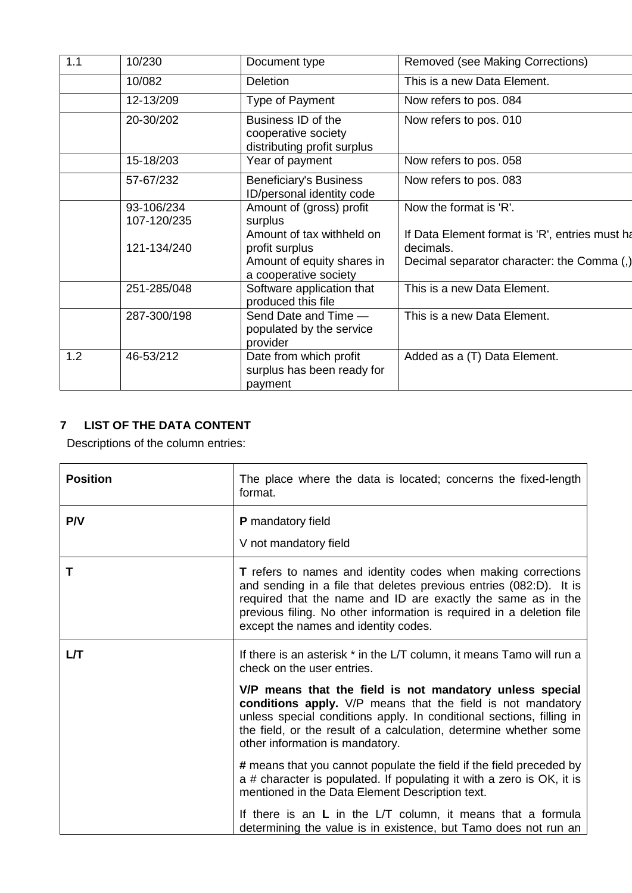| 1.1 | 10/230                    | Document type                                                                                      | Removed (see Making Corrections)                                                                          |
|-----|---------------------------|----------------------------------------------------------------------------------------------------|-----------------------------------------------------------------------------------------------------------|
|     | 10/082                    | <b>Deletion</b>                                                                                    | This is a new Data Element.                                                                               |
|     | 12-13/209                 | Type of Payment                                                                                    | Now refers to pos. 084                                                                                    |
|     | 20-30/202                 | Business ID of the<br>cooperative society<br>distributing profit surplus                           | Now refers to pos. 010                                                                                    |
|     | 15-18/203                 | Year of payment                                                                                    | Now refers to pos. 058                                                                                    |
|     | 57-67/232                 | <b>Beneficiary's Business</b><br>ID/personal identity code                                         | Now refers to pos. 083                                                                                    |
|     | 93-106/234<br>107-120/235 | Amount of (gross) profit<br>surplus                                                                | Now the format is 'R'.                                                                                    |
|     | 121-134/240               | Amount of tax withheld on<br>profit surplus<br>Amount of equity shares in<br>a cooperative society | If Data Element format is 'R', entries must ha<br>decimals.<br>Decimal separator character: the Comma (,) |
|     | 251-285/048               | Software application that<br>produced this file                                                    | This is a new Data Element.                                                                               |
|     | 287-300/198               | Send Date and Time -<br>populated by the service<br>provider                                       | This is a new Data Element.                                                                               |
| 1.2 | 46-53/212                 | Date from which profit<br>surplus has been ready for<br>payment                                    | Added as a (T) Data Element.                                                                              |

## <span id="page-2-0"></span>**7 LIST OF THE DATA CONTENT**

Descriptions of the column entries:

| <b>Position</b> | The place where the data is located; concerns the fixed-length<br>format.                                                                                                                                                                                                                                                 |
|-----------------|---------------------------------------------------------------------------------------------------------------------------------------------------------------------------------------------------------------------------------------------------------------------------------------------------------------------------|
| P/V             | <b>P</b> mandatory field                                                                                                                                                                                                                                                                                                  |
|                 | V not mandatory field                                                                                                                                                                                                                                                                                                     |
| Τ               | <b>T</b> refers to names and identity codes when making corrections<br>and sending in a file that deletes previous entries (082:D). It is<br>required that the name and ID are exactly the same as in the<br>previous filing. No other information is required in a deletion file<br>except the names and identity codes. |
| LЛ              | If there is an asterisk * in the L/T column, it means Tamo will run a<br>check on the user entries.                                                                                                                                                                                                                       |
|                 | V/P means that the field is not mandatory unless special<br>conditions apply. V/P means that the field is not mandatory<br>unless special conditions apply. In conditional sections, filling in<br>the field, or the result of a calculation, determine whether some<br>other information is mandatory.                   |
|                 | # means that you cannot populate the field if the field preceded by<br>a # character is populated. If populating it with a zero is OK, it is<br>mentioned in the Data Element Description text.                                                                                                                           |
|                 | If there is an L in the L/T column, it means that a formula<br>determining the value is in existence, but Tamo does not run an                                                                                                                                                                                            |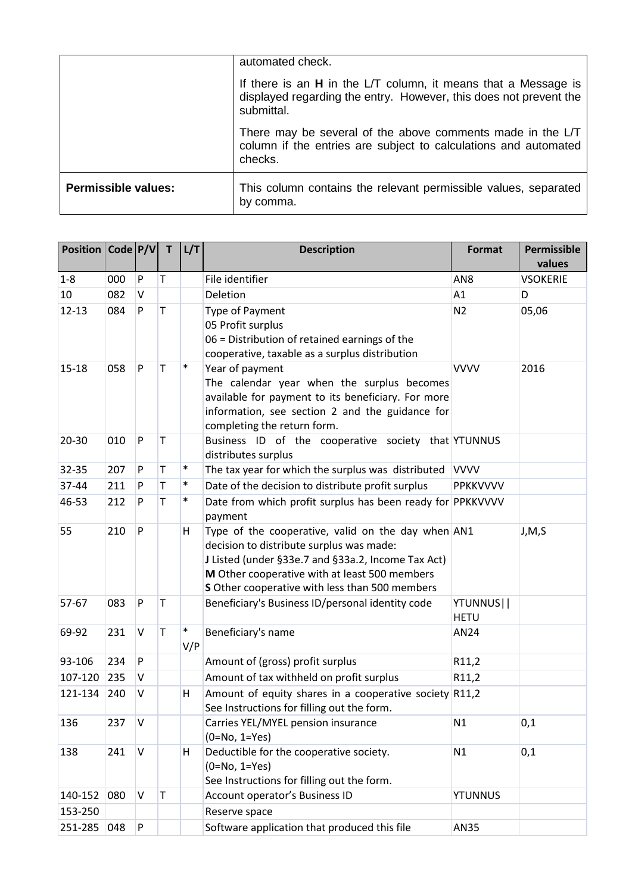|                            | automated check.                                                                                                                                    |
|----------------------------|-----------------------------------------------------------------------------------------------------------------------------------------------------|
|                            | If there is an $H$ in the L/T column, it means that a Message is<br>displayed regarding the entry. However, this does not prevent the<br>submittal. |
|                            | There may be several of the above comments made in the L/T<br>column if the entries are subject to calculations and automated<br>checks.            |
| <b>Permissible values:</b> | This column contains the relevant permissible values, separated<br>by comma.                                                                        |

| Position   Code   P/V |     |           | T           | L/T           | <b>Description</b>                                                    | <b>Format</b>   | Permissible<br>values |
|-----------------------|-----|-----------|-------------|---------------|-----------------------------------------------------------------------|-----------------|-----------------------|
| $1 - 8$               | 000 | P         | T           |               | File identifier                                                       | AN <sub>8</sub> | <b>VSOKERIE</b>       |
| 10                    | 082 | V         |             |               | Deletion                                                              | A1              | D                     |
| $12 - 13$             | 084 | P         | $\mathsf T$ |               | Type of Payment                                                       | N <sub>2</sub>  | 05,06                 |
|                       |     |           |             |               | 05 Profit surplus                                                     |                 |                       |
|                       |     |           |             |               | 06 = Distribution of retained earnings of the                         |                 |                       |
|                       |     |           |             |               | cooperative, taxable as a surplus distribution                        |                 |                       |
| $15 - 18$             | 058 | P         | T           | $\ast$        | Year of payment                                                       | <b>VVVV</b>     | 2016                  |
|                       |     |           |             |               | The calendar year when the surplus becomes                            |                 |                       |
|                       |     |           |             |               | available for payment to its beneficiary. For more                    |                 |                       |
|                       |     |           |             |               | information, see section 2 and the guidance for                       |                 |                       |
|                       |     |           |             |               | completing the return form.                                           |                 |                       |
| $20 - 30$             | 010 | P         | T           |               | Business ID of the cooperative society that YTUNNUS                   |                 |                       |
|                       |     |           |             | $\ast$        | distributes surplus                                                   |                 |                       |
| 32-35                 | 207 | P         | T           | $\ast$        | The tax year for which the surplus was distributed                    | <b>VVVV</b>     |                       |
| 37-44                 | 211 | P         | T           |               | Date of the decision to distribute profit surplus                     | PPKKVVVV        |                       |
| 46-53                 | 212 | P         | T           | $\ast$        | Date from which profit surplus has been ready for PPKKVVVV<br>payment |                 |                       |
| 55                    | 210 | P         |             | н             | Type of the cooperative, valid on the day when AN1                    |                 | J, M, S               |
|                       |     |           |             |               | decision to distribute surplus was made:                              |                 |                       |
|                       |     |           |             |               | J Listed (under §33e.7 and §33a.2, Income Tax Act)                    |                 |                       |
|                       |     |           |             |               | M Other cooperative with at least 500 members                         |                 |                       |
|                       |     |           |             |               | S Other cooperative with less than 500 members                        |                 |                       |
| 57-67                 | 083 | ${\sf P}$ | $\mathsf T$ |               | Beneficiary's Business ID/personal identity code                      | YTUNNUS         |                       |
|                       |     |           |             |               |                                                                       | <b>HETU</b>     |                       |
| 69-92                 | 231 | $\vee$    | T           | $\ast$<br>V/P | Beneficiary's name                                                    | AN24            |                       |
| 93-106                | 234 | P         |             |               | Amount of (gross) profit surplus                                      | R11,2           |                       |
| 107-120               | 235 | V         |             |               | Amount of tax withheld on profit surplus                              | R11,2           |                       |
| 121-134               | 240 | V         |             | н             | Amount of equity shares in a cooperative society R11,2                |                 |                       |
|                       |     |           |             |               | See Instructions for filling out the form.                            |                 |                       |
| 136                   | 237 | V         |             |               | Carries YEL/MYEL pension insurance                                    | N1              | 0,1                   |
|                       |     |           |             |               | $(0=No, 1=Yes)$                                                       |                 |                       |
| 138                   | 241 | V         |             | H             | Deductible for the cooperative society.                               | N1              | 0,1                   |
|                       |     |           |             |               | $(0=No, 1=Yes)$                                                       |                 |                       |
|                       |     |           |             |               | See Instructions for filling out the form.                            |                 |                       |
| 140-152               | 080 | V         | $\mathsf T$ |               | Account operator's Business ID                                        | <b>YTUNNUS</b>  |                       |
| 153-250               |     |           |             |               | Reserve space                                                         |                 |                       |
| 251-285               | 048 | P         |             |               | Software application that produced this file                          | AN35            |                       |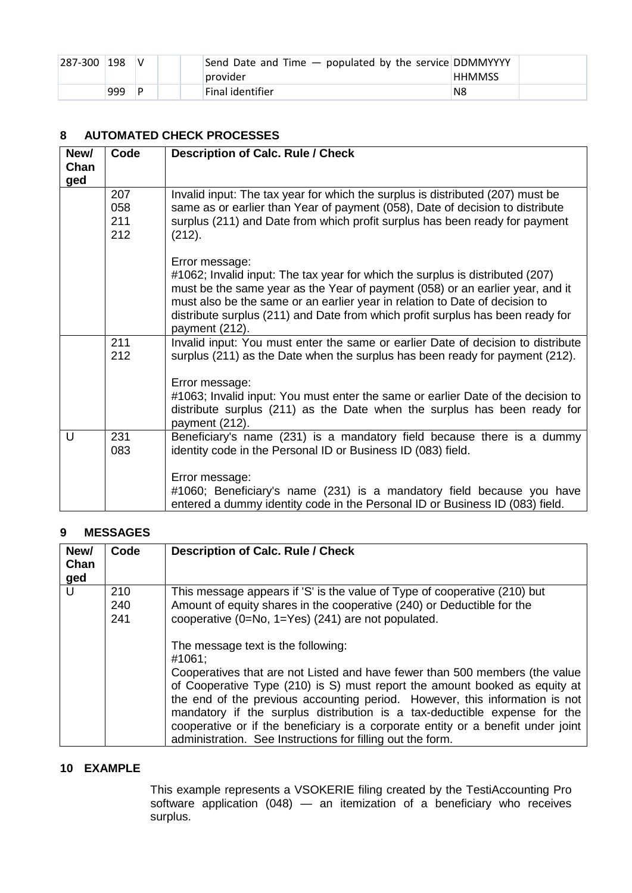| $ 287-300 $ | 198 |   | Send Date and Time $-$ populated by the service DDMMYYYY |               |  |
|-------------|-----|---|----------------------------------------------------------|---------------|--|
|             |     |   | provider                                                 | <b>HHMMSS</b> |  |
|             | 999 | D | Final identifier                                         | N8            |  |

### <span id="page-4-0"></span>**8 AUTOMATED CHECK PROCESSES**

| New/<br>Chan<br>ged | Code                     | <b>Description of Calc. Rule / Check</b>                                                                                                                                                                                                                                                                                                                            |
|---------------------|--------------------------|---------------------------------------------------------------------------------------------------------------------------------------------------------------------------------------------------------------------------------------------------------------------------------------------------------------------------------------------------------------------|
|                     | 207<br>058<br>211<br>212 | Invalid input: The tax year for which the surplus is distributed (207) must be<br>same as or earlier than Year of payment (058), Date of decision to distribute<br>surplus (211) and Date from which profit surplus has been ready for payment<br>(212).                                                                                                            |
|                     |                          | Error message:<br>#1062; Invalid input: The tax year for which the surplus is distributed (207)<br>must be the same year as the Year of payment (058) or an earlier year, and it<br>must also be the same or an earlier year in relation to Date of decision to<br>distribute surplus (211) and Date from which profit surplus has been ready for<br>payment (212). |
|                     | 211<br>212               | Invalid input: You must enter the same or earlier Date of decision to distribute<br>surplus (211) as the Date when the surplus has been ready for payment (212).                                                                                                                                                                                                    |
|                     |                          | Error message:<br>#1063; Invalid input: You must enter the same or earlier Date of the decision to<br>distribute surplus (211) as the Date when the surplus has been ready for<br>payment (212).                                                                                                                                                                    |
| U                   | 231<br>083               | Beneficiary's name (231) is a mandatory field because there is a dummy<br>identity code in the Personal ID or Business ID (083) field.                                                                                                                                                                                                                              |
|                     |                          | Error message:<br>#1060; Beneficiary's name (231) is a mandatory field because you have<br>entered a dummy identity code in the Personal ID or Business ID (083) field.                                                                                                                                                                                             |

## <span id="page-4-1"></span>**9 MESSAGES**

| New/<br>Chan<br>ged | Code              | <b>Description of Calc. Rule / Check</b>                                                                                                                                                                                                                                                                                                                                                                                                                                                                                                                                           |
|---------------------|-------------------|------------------------------------------------------------------------------------------------------------------------------------------------------------------------------------------------------------------------------------------------------------------------------------------------------------------------------------------------------------------------------------------------------------------------------------------------------------------------------------------------------------------------------------------------------------------------------------|
| U                   | 210<br>240<br>241 | This message appears if 'S' is the value of Type of cooperative (210) but<br>Amount of equity shares in the cooperative (240) or Deductible for the<br>cooperative (0=No, 1=Yes) (241) are not populated.<br>The message text is the following:<br>#1061:<br>Cooperatives that are not Listed and have fewer than 500 members (the value<br>of Cooperative Type (210) is S) must report the amount booked as equity at<br>the end of the previous accounting period. However, this information is not<br>mandatory if the surplus distribution is a tax-deductible expense for the |
|                     |                   | cooperative or if the beneficiary is a corporate entity or a benefit under joint<br>administration. See Instructions for filling out the form.                                                                                                                                                                                                                                                                                                                                                                                                                                     |

#### <span id="page-4-2"></span>**10 EXAMPLE**

This example represents a VSOKERIE filing created by the TestiAccounting Pro software application (048) — an itemization of a beneficiary who receives surplus.